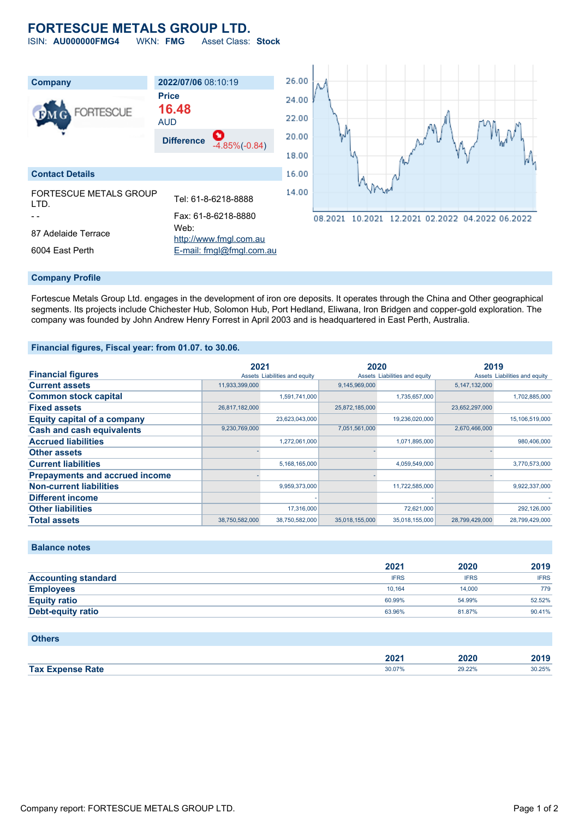# **FORTESCUE METALS GROUP LTD.**

ISIN: **AU000000FMG4** WKN: **FMG** Asset Class: **Stock**

| Company                                | 2022/07/06 08:10:19                        | 26.00 |  |
|----------------------------------------|--------------------------------------------|-------|--|
| <b>FORTESCUE</b><br>DМ                 | <b>Price</b><br>16.48                      | 24.00 |  |
|                                        | <b>AUD</b>                                 | 22.00 |  |
|                                        | ÷<br><b>Difference</b><br>$-4.85\%(-0.84)$ | 20.00 |  |
|                                        |                                            | 18.00 |  |
| <b>Contact Details</b>                 |                                            | 16.00 |  |
| <b>FORTESCUE METALS GROUP</b><br>I TD. | Tel: 61-8-6218-8888                        | 14.00 |  |
|                                        | Fax: 61-8-6218-8880                        | 08    |  |
| 87 Adelaide Terrace                    | Web:<br>http://www.fmgl.com.au             |       |  |
| 6004 East Perth                        | E-mail: fmgl@fmgl.com.au                   |       |  |



## **Company Profile**

Fortescue Metals Group Ltd. engages in the development of iron ore deposits. It operates through the China and Other geographical segments. Its projects include Chichester Hub, Solomon Hub, Port Hedland, Eliwana, Iron Bridgen and copper-gold exploration. The company was founded by John Andrew Henry Forrest in April 2003 and is headquartered in East Perth, Australia.

## **Financial figures, Fiscal year: from 01.07. to 30.06.**

|                                       | 2021           |                               | 2020           |                               | 2019           |                               |
|---------------------------------------|----------------|-------------------------------|----------------|-------------------------------|----------------|-------------------------------|
| <b>Financial figures</b>              |                | Assets Liabilities and equity |                | Assets Liabilities and equity |                | Assets Liabilities and equity |
| <b>Current assets</b>                 | 11,933,399,000 |                               | 9,145,969,000  |                               | 5,147,132,000  |                               |
| <b>Common stock capital</b>           |                | 1,591,741,000                 |                | 1,735,657,000                 |                | 1,702,885,000                 |
| <b>Fixed assets</b>                   | 26,817,182,000 |                               | 25,872,185,000 |                               | 23,652,297,000 |                               |
| <b>Equity capital of a company</b>    |                | 23,623,043,000                |                | 19,236,020,000                |                | 15,106,519,000                |
| <b>Cash and cash equivalents</b>      | 9,230,769,000  |                               | 7,051,561,000  |                               | 2,670,466,000  |                               |
| <b>Accrued liabilities</b>            |                | 1,272,061,000                 |                | 1,071,895,000                 |                | 980,406,000                   |
| <b>Other assets</b>                   |                |                               |                |                               |                |                               |
| <b>Current liabilities</b>            |                | 5,168,165,000                 |                | 4,059,549,000                 |                | 3,770,573,000                 |
| <b>Prepayments and accrued income</b> |                |                               |                |                               |                |                               |
| <b>Non-current liabilities</b>        |                | 9,959,373,000                 |                | 11,722,585,000                |                | 9,922,337,000                 |
| <b>Different income</b>               |                |                               |                |                               |                |                               |
| <b>Other liabilities</b>              |                | 17,316,000                    |                | 72,621,000                    |                | 292,126,000                   |
| <b>Total assets</b>                   | 38,750,582,000 | 38,750,582,000                | 35,018,155,000 | 35,018,155,000                | 28,799,429,000 | 28,799,429,000                |

# **Balance notes**

|                            | 2021        | 2020        | 2019        |
|----------------------------|-------------|-------------|-------------|
| <b>Accounting standard</b> | <b>IFRS</b> | <b>IFRS</b> | <b>IFRS</b> |
| <b>Employees</b>           | 10.164      | 14,000      | 779         |
| <b>Equity ratio</b>        | 60.99%      | 54.99%      | 52.52%      |
| Debt-equity ratio          | 63.96%      | 81.87%      | 90.41%      |

#### **Others**

|                         | ימחה<br>ZUZ ' | 2020   | 2019   |
|-------------------------|---------------|--------|--------|
| <b>Tax Expense Rate</b> | 30.07%        | 20 22% | 30.25% |